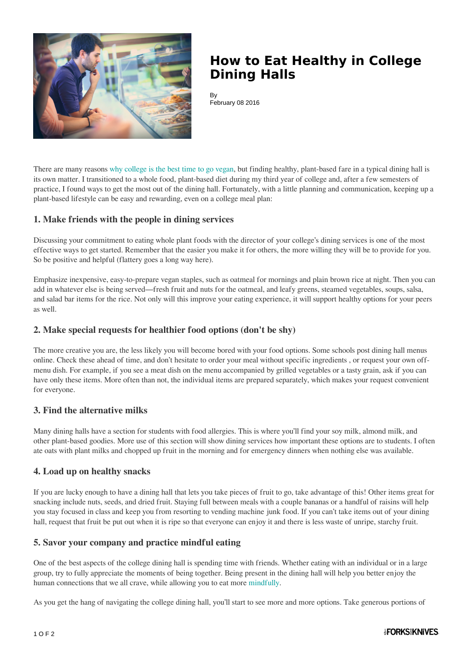

# **How to Eat Healthy in College Dining Halls**

By February 08 2016

There are many reasons [why college is the best time to go vegan,](http://www.forksoverknives.com/why-college-is-the-best-time-to-go-vegan/) but finding healthy, plant-based fare in a typical dining hall is its own matter. I transitioned to a whole food, plant-based diet during my third year of college and, after a few semesters of practice, I found ways to get the most out of the dining hall. Fortunately, with a little planning and communication, keeping up a plant-based lifestyle can be easy and rewarding, even on a college meal plan:

## **1. Make friends with the people in dining services**

Discussing your commitment to eating whole plant foods with the director of your college's dining services is one of the most effective ways to get started. Remember that the easier you make it for others, the more willing they will be to provide for you. So be positive and helpful (flattery goes a long way here).

Emphasize inexpensive, easy-to-prepare vegan staples, such as oatmeal for mornings and plain brown rice at night. Then you can add in whatever else is being served—fresh fruit and nuts for the oatmeal, and leafy greens, steamed vegetables, soups, salsa, and salad bar items for the rice. Not only will this improve your eating experience, it will support healthy options for your peers as well.

## **2. Make special requests for healthier food options (don't be shy)**

The more creative you are, the less likely you will become bored with your food options. Some schools post dining hall menus online. Check these ahead of time, and don't hesitate to order your meal without specific ingredients , or request your own offmenu dish. For example, if you see a meat dish on the menu accompanied by grilled vegetables or a tasty grain, ask if you can have only these items. More often than not, the individual items are prepared separately, which makes your request convenient for everyone.

#### **3. Find the alternative milks**

Many dining halls have a section for students with food allergies. This is where you'll find your soy milk, almond milk, and other plant-based goodies. More use of this section will show dining services how important these options are to students. I often ate oats with plant milks and chopped up fruit in the morning and for emergency dinners when nothing else was available.

#### **4. Load up on healthy snacks**

If you are lucky enough to have a dining hall that lets you take pieces of fruit to go, take advantage of this! Other items great for snacking include nuts, seeds, and dried fruit. Staying full between meals with a couple bananas or a handful of raisins will help you stay focused in class and keep you from resorting to vending machine junk food. If you can't take items out of your dining hall, request that fruit be put out when it is ripe so that everyone can enjoy it and there is less waste of unripe, starchy fruit.

#### **5. Savor your company and practice mindful eating**

One of the best aspects of the college dining hall is spending time with friends. Whether eating with an individual or in a large group, try to fully appreciate the moments of being together. Being present in the dining hall will help you better enjoy the human connections that we all crave, while allowing you to eat more [mindfully.](http://nutritionstudies.org/mindful-eating-for-balance/)

As you get the hang of navigating the college dining hall, you'll start to see more and more options. Take generous portions of